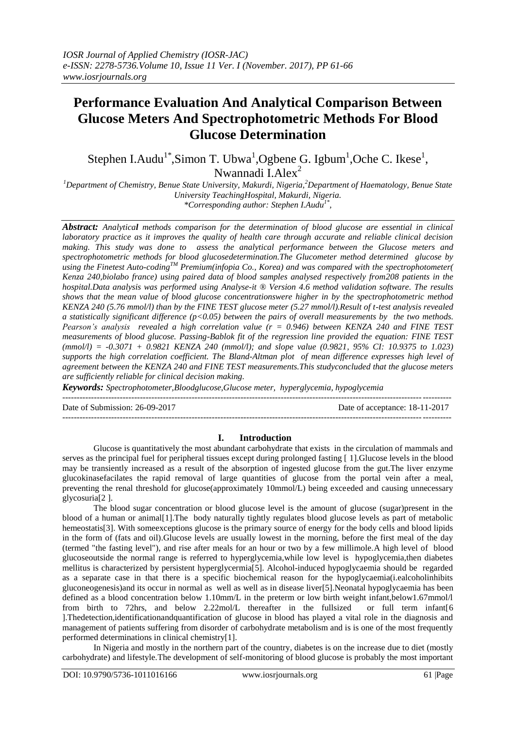# **Performance Evaluation And Analytical Comparison Between Glucose Meters And Spectrophotometric Methods For Blood Glucose Determination**

Stephen I.Audu<sup>1\*</sup>,Simon T. Ubwa<sup>1</sup>,Ogbene G. Igbum<sup>1</sup>,Oche C. Ikese<sup>1</sup>, Nwannadi I.Alex $2$ 

*<sup>1</sup>Department of Chemistry, Benue State University, Makurdi, Nigeria,<sup>2</sup>Department of Haematology, Benue State University TeachingHospital, Makurdi, Nigeria.*

*\*Corresponding author: Stephen I.Audu1\* ,*

*Abstract: Analytical methods comparison for the determination of blood glucose are essential in clinical laboratory practice as it improves the quality of health care through accurate and reliable clinical decision making. This study was done to assess the analytical performance between the Glucose meters and spectrophotometric methods for blood glucosedetermination.The Glucometer method determined glucose by using the Finetest Auto-codingTM Premium(infopia Co., Korea) and was compared with the spectrophotometer( Kenza 240,biolabo france) using paired data of blood samples analysed respectively from208 patients in the hospital.Data analysis was performed using Analyse-it ® Version 4.6 method validation software. The results shows that the mean value of blood glucose concentrationswere higher in by the spectrophotometric method KENZA 240 (5.76 mmol/l) than by the FINE TEST glucose meter (5.27 mmol/l).Result of t-test analysis revealed a statistically significant difference (p<0.05) between the pairs of overall measurements by the two methods. Pearson's analysis revealed a high correlation value (r = 0.946) between KENZA 240 and FINE TEST measurements of blood glucose. Passing-Bablok fit of the regression line provided the equation: FINE TEST (mmol/l) = -0.3071 + 0.9821 KENZA 240 (mmol/l); and slope value (0.9821, 95% CI: 10.9375 to 1.023) supports the high correlation coefficient. The Bland-Altman plot of mean difference expresses high level of agreement between the KENZA 240 and FINE TEST measurements.This studyconcluded that the glucose meters are sufficiently reliable for clinical decision making.*

*Keywords: Spectrophotometer,Bloodglucose,Glucose meter, hyperglycemia, hypoglycemia* ---------------------------------------------------------------------------------------------------------------------------------------

 $-1\leq i\leq n-1\leq n-1\leq n-1\leq n-1\leq n-1\leq n-1\leq n-1\leq n-1\leq n-1\leq n-1\leq n-1\leq n-1\leq n-1\leq n-1\leq n-1\leq n-1\leq n-1\leq n-1\leq n-1\leq n-1\leq n-1\leq n-1\leq n-1\leq n-1\leq n-1\leq n-1\leq n-1\leq n-1\leq n-1\leq n-1\leq n-1\leq n-1\leq n-1\leq n-1\leq n-1\leq n$ 

Date of Submission: 26-09-2017 Date of acceptance: 18-11-2017

## **I. Introduction**

Glucose is quantitatively the most abundant carbohydrate that exists in the circulation of mammals and serves as the principal fuel for peripheral tissues except during prolonged fasting [ 1].Glucose levels in the blood may be transiently increased as a result of the absorption of ingested glucose from the gut.The liver enzyme glucokinasefacilates the rapid removal of large quantities of glucose from the portal vein after a meal, preventing the renal threshold for glucose(approximately 10mmol/L) being exceeded and causing unnecessary glycosuria[2 ].

The blood sugar concentration or blood glucose level is the amount of glucose (sugar)present in the blood of a human or animal[1].The body naturally tightly regulates blood glucose levels as part of metabolic hemeostatis<sup>[3]</sup>. With some exceptions glucose is the primary source of energy for the body cells and blood lipids in the form of (fats and oil).Glucose levels are usually lowest in the morning, before the first meal of the day (termed "the fasting level"), and rise after meals for an hour or two by a few millimole.A high level of blood glucoseoutside the normal range is referred to hyperglycemia,while low level is hypoglycemia,then diabetes mellitus is characterized by persistent hyperglycermia[5]. Alcohol-induced hypoglycaemia should be regarded as a separate case in that there is a specific biochemical reason for the hypoglycaemia(i.ealcoholinhibits gluconeogenesis)and its occur in normal as well as well as in disease liver[5].Neonatal hypoglycaemia has been defined as a blood concentration below 1.10mm/L in the preterm or low birth weight infant,below1.67mmol/l from birth to 72hrs, and below 2.22mol/L thereafter in the fullsized or full term infant[6 ].Thedetection,identificationandquantification of glucose in blood has played a vital role in the diagnosis and management of patients suffering from disorder of carbohydrate metabolism and is is one of the most frequently performed determinations in clinical chemistry[1].

In Nigeria and mostly in the northern part of the country, diabetes is on the increase due to diet (mostly carbohydrate) and lifestyle.The development of self-monitoring of blood glucose is probably the most important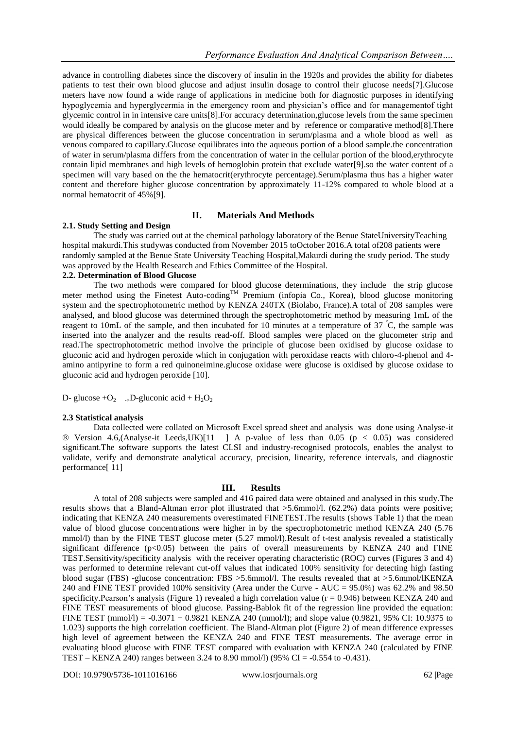advance in controlling diabetes since the discovery of insulin in the 1920s and provides the ability for diabetes patients to test their own blood glucose and adjust insulin dosage to control their glucose needs[7].Glucose meters have now found a wide range of applications in medicine both for diagnostic purposes in identifying hypoglycemia and hyperglycermia in the emergency room and physician's office and for managementof tight glycemic control in in intensive care units[8].For accuracy determination,glucose levels from the same specimen would ideally be compared by analysis on the glucose meter and by reference or comparative method[8]. There are physical differences between the glucose concentration in serum/plasma and a whole blood as well as venous compared to capillary.Glucose equilibrates into the aqueous portion of a blood sample.the concentration of water in serum/plasma differs from the concentration of water in the cellular portion of the blood,erythrocyte contain lipid membranes and high levels of hemoglobin protein that exclude water[9].so the water content of a specimen will vary based on the the hematocrit(erythrocyte percentage).Serum/plasma thus has a higher water content and therefore higher glucose concentration by approximately 11-12% compared to whole blood at a normal hematocrit of 45%[9].

## **II. Materials And Methods**

#### **2.1. Study Setting and Design**

The study was carried out at the chemical pathology laboratory of the Benue StateUniversityTeaching hospital makurdi.This studywas conducted from November 2015 toOctober 2016.A total of208 patients were randomly sampled at the Benue State University Teaching Hospital,Makurdi during the study period. The study was approved by the Health Research and Ethics Committee of the Hospital.

## **2.2. Determination of Blood Glucose**

The two methods were compared for blood glucose determinations, they include the strip glucose meter method using the Finetest Auto-coding<sup>TM</sup> Premium (infopia Co., Korea), blood glucose monitoring system and the spectrophotometric method by KENZA 240TX (Biolabo, France).A total of 208 samples were analysed, and blood glucose was determined through the spectrophotometric method by measuring 1mL of the reagent to 10mL of the sample, and then incubated for 10 minutes at a temperature of 37 <sup>º</sup>C, the sample was inserted into the analyzer and the results read-off. Blood samples were placed on the glucometer strip and read.The spectrophotometric method involve the principle of glucose been oxidised by glucose oxidase to gluconic acid and hydrogen peroxide which in conjugation with peroxidase reacts with chloro-4-phenol and 4 amino antipyrine to form a red quinoneimine.glucose oxidase were glucose is oxidised by glucose oxidase to gluconic acid and hydrogen peroxide [10].

D- glucose + $O_2$  -  $D$ -gluconic acid +  $H_2O_2$ 

#### **2.3 Statistical analysis**

Data collected were collated on Microsoft Excel spread sheet and analysis was done using Analyse-it ® Version 4.6,(Analyse-it Leeds,UK)[11 ] A p-value of less than 0.05 (p < 0.05) was considered significant.The software supports the latest CLSI and industry-recognised protocols, enables the analyst to validate, verify and demonstrate analytical accuracy, precision, linearity, reference intervals, and diagnostic performance[ 11]

### **III. Results**

A total of 208 subjects were sampled and 416 paired data were obtained and analysed in this study.The results shows that a Bland-Altman error plot illustrated that >5.6mmol/l. (62.2%) data points were positive; indicating that KENZA 240 measurements overestimated FINETEST.The results (shows Table 1) that the mean value of blood glucose concentrations were higher in by the spectrophotometric method KENZA 240 (5.76 mmol/l) than by the FINE TEST glucose meter (5.27 mmol/l).Result of t-test analysis revealed a statistically significant difference  $(p<0.05)$  between the pairs of overall measurements by KENZA 240 and FINE TEST.Sensitivity/specificity analysis with the receiver operating characteristic (ROC) curves (Figures 3 and 4) was performed to determine relevant cut-off values that indicated 100% sensitivity for detecting high fasting blood sugar (FBS) -glucose concentration: FBS >5.6mmol/l. The results revealed that at >5.6mmol/lKENZA 240 and FINE TEST provided 100% sensitivity (Area under the Curve - AUC = 95.0%) was 62.2% and 98.50 specificity. Pearson's analysis (Figure 1) revealed a high correlation value ( $r = 0.946$ ) between KENZA 240 and FINE TEST measurements of blood glucose. Passing-Bablok fit of the regression line provided the equation: FINE TEST (mmol/l) = -0.3071 + 0.9821 KENZA 240 (mmol/l); and slope value (0.9821, 95% CI: 10.9375 to 1.023) supports the high correlation coefficient. The Bland-Altman plot (Figure 2) of mean difference expresses high level of agreement between the KENZA 240 and FINE TEST measurements. The average error in evaluating blood glucose with FINE TEST compared with evaluation with KENZA 240 (calculated by FINE TEST – KENZA 240) ranges between 3.24 to 8.90 mmol/l) (95% CI = -0.554 to -0.431).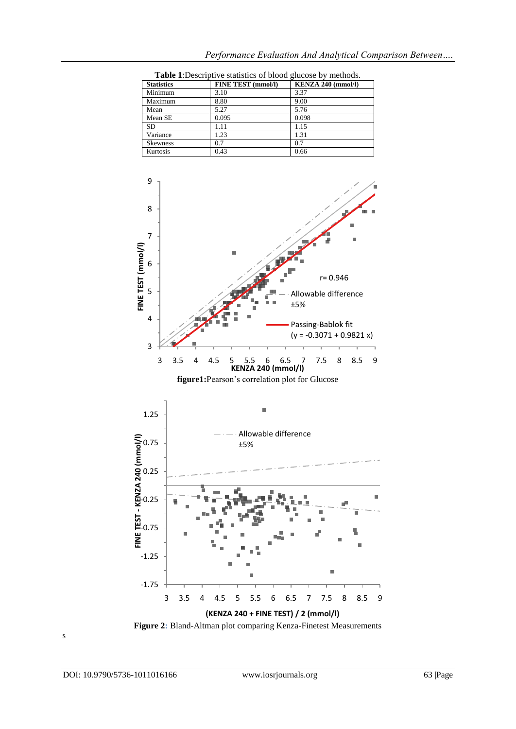| <b>Statistics</b> | <b>FINE TEST (mmol/l)</b> | KENZA 240 (mmol/l) |
|-------------------|---------------------------|--------------------|
| Minimum           | 3.10                      | 3.37               |
| Maximum           | 8.80                      | 9.00               |
| Mean              | 5.27                      | 5.76               |
| Mean SE           | 0.095                     | 0.098              |
| <b>SD</b>         | 1.11                      | 1.15               |
| Variance          | 1.23                      | 1.31               |
| <b>Skewness</b>   | 0.7                       | 0.7                |
| Kurtosis          | 0.43                      | 0.66               |

*Performance Evaluation And Analytical Comparison Between….*



**Table 1**:Descriptive statistics of blood glucose by methods.





**Figure 2:** Bland-Altman plot comparing Kenza-Finetest Measurements

s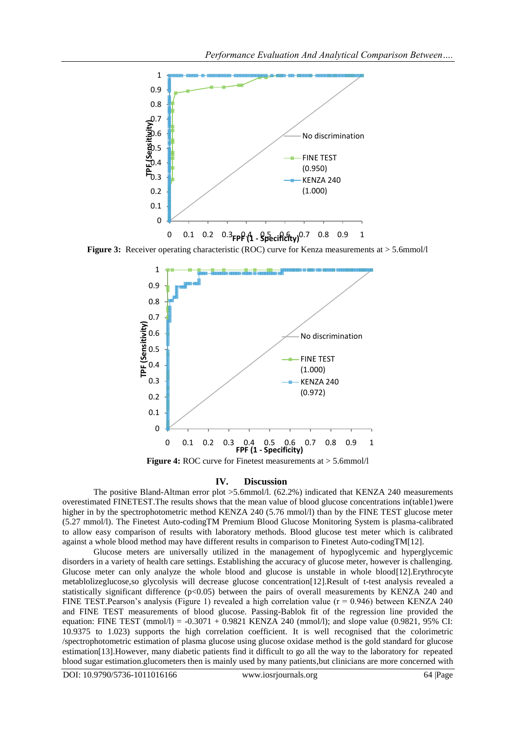

**Figure 3:** Receiver operating characteristic (ROC) curve for Kenza measurements at  $> 5.6$ mmol/l



**Figure 4:** ROC curve for Finetest measurements at  $> 5.6$ mmol/l

#### **IV. Discussion**

The positive Bland-Altman error plot >5.6mmol/l. (62.2%) indicated that KENZA 240 measurements overestimated FINETEST.The results shows that the mean value of blood glucose concentrations in(table1)were higher in by the spectrophotometric method KENZA 240 (5.76 mmol/l) than by the FINE TEST glucose meter (5.27 mmol/l). The Finetest Auto-codingTM Premium Blood Glucose Monitoring System is plasma-calibrated to allow easy comparison of results with laboratory methods. Blood glucose test meter which is calibrated against a whole blood method may have different results in comparison to Finetest Auto-codingTM[12].

Glucose meters are universally utilized in the management of hypoglycemic and hyperglycemic disorders in a variety of health care settings. Establishing the accuracy of glucose meter, however is challenging. Glucose meter can only analyze the whole blood and glucose is unstable in whole blood[12].Erythrocyte metablolizeglucose,so glycolysis will decrease glucose concentration[12].Result of t-test analysis revealed a statistically significant difference (p<0.05) between the pairs of overall measurements by KENZA 240 and FINE TEST. Pearson's analysis (Figure 1) revealed a high correlation value ( $r = 0.946$ ) between KENZA 240 and FINE TEST measurements of blood glucose. Passing-Bablok fit of the regression line provided the equation: FINE TEST (mmol/l) =  $-0.3071 + 0.9821$  KENZA 240 (mmol/l); and slope value (0.9821, 95% CI: 10.9375 to 1.023) supports the high correlation coefficient. It is well recognised that the colorimetric /spectrophotometric estimation of plasma glucose using glucose oxidase method is the gold standard for glucose estimation[13].However, many diabetic patients find it difficult to go all the way to the laboratory for repeated blood sugar estimation.glucometers then is mainly used by many patients,but clinicians are more concerned with

DOI: 10.9790/5736-1011016166 www.iosrjournals.org 64 |Page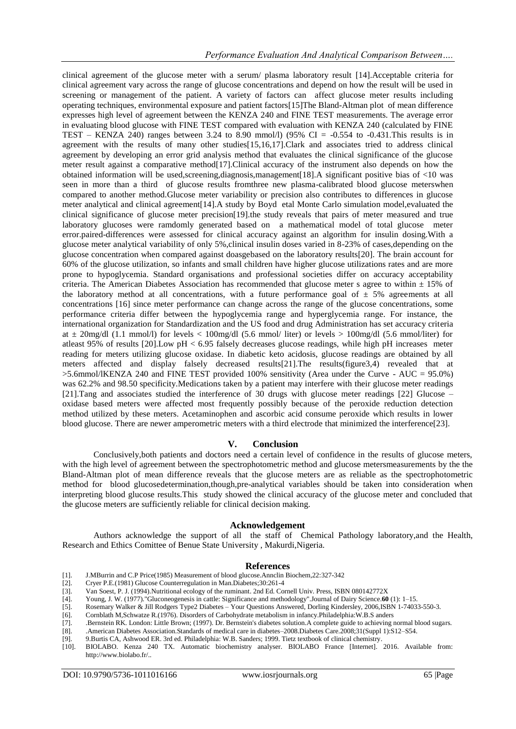clinical agreement of the glucose meter with a serum/ plasma laboratory result [14].Acceptable criteria for clinical agreement vary across the range of glucose concentrations and depend on how the result will be used in screening or management of the patient. A variety of factors can affect glucose meter results including operating techniques, environmental exposure and patient factors[15]The Bland-Altman plot of mean difference expresses high level of agreement between the KENZA 240 and FINE TEST measurements. The average error in evaluating blood glucose with FINE TEST compared with evaluation with KENZA 240 (calculated by FINE TEST – KENZA 240) ranges between 3.24 to 8.90 mmol/l) (95% CI =  $-0.554$  to  $-0.431$ . This results is in agreement with the results of many other studies[15,16,17].Clark and associates tried to address clinical agreement by developing an error grid analysis method that evaluates the clinical significance of the glucose meter result against a comparative method[17].Clinical accuracy of the instrument also depends on how the obtained information will be used, screening, diagnosis, management [18]. A significant positive bias of  $\langle 10 \rangle$  was seen in more than a third of glucose results fromthree new plasma-calibrated blood glucose meterswhen compared to another method.Glucose meter variability or precision also contributes to differences in glucose meter analytical and clinical agreement[14].A study by Boyd etal Monte Carlo simulation model,evaluated the clinical significance of glucose meter precision[19].the study reveals that pairs of meter measured and true laboratory glucoses were ramdomly generated based on a mathematical model of total glucose meter error.paired-differences were assessed for clinical accuracy against an algorithm for insulin dosing.With a glucose meter analytical variability of only 5%,clinical insulin doses varied in 8-23% of cases,depending on the glucose concentration when compared against doasgebased on the laboratory results[20]. The brain account for 60% of the glucose utilization, so infants and small children have higher glucose utilizations rates and are more prone to hypoglycemia. Standard organisations and professional societies differ on accuracy acceptability criteria. The American Diabetes Association has recommended that glucose meter s agree to within  $\pm$  15% of the laboratory method at all concentrations, with a future performance goal of  $\pm$  5% agreements at all concentrations [16] since meter performance can change across the range of the glucose concentrations, some performance criteria differ between the hypoglycemia range and hyperglycemia range. For instance, the international organization for Standardization and the US food and drug Administration has set accuracy criteria at  $\pm$  20mg/dl (1.1 mmol/l) for levels < 100mg/dl (5.6 mmol/ liter) or levels > 100mg/dl (5.6 mmol/liter) for atleast 95% of results [20].Low pH < 6.95 falsely decreases glucose readings, while high pH increases meter reading for meters utilizing glucose oxidase. In diabetic keto acidosis, glucose readings are obtained by all meters affected and display falsely decreased results[21].The results(figure3,4) revealed that at >5.6mmol/lKENZA 240 and FINE TEST provided 100% sensitivity (Area under the Curve - AUC = 95.0%) was 62.2% and 98.50 specificity.Medications taken by a patient may interfere with their glucose meter readings [21].Tang and associates studied the interference of 30 drugs with glucose meter readings [22] Glucose – oxidase based meters were affected most frequently possibly because of the peroxide reduction detection method utilized by these meters. Acetaminophen and ascorbic acid consume peroxide which results in lower blood glucose. There are newer amperometric meters with a third electrode that minimized the interference[23].

#### **V. Conclusion**

Conclusively,both patients and doctors need a certain level of confidence in the results of glucose meters, with the high level of agreement between the spectrophotometric method and glucose metersmeasurements by the the Bland-Altman plot of mean difference reveals that the glucose meters are as reliable as the spectrophotometric method for blood glucosedetermination,though,pre-analytical variables should be taken into consideration when interpreting blood glucose results.This study showed the clinical accuracy of the glucose meter and concluded that the glucose meters are sufficiently reliable for clinical decision making.

### **Acknowledgement**

Authors acknowledge the support of all the staff of Chemical Pathology laboratory,and the Health, Research and Ethics Comittee of Benue State University , Makurdi,Nigeria.

#### **References**

- [1]. J.MBurrin and C.P Price(1985) Measurement of blood glucose.Annclin Biochem,22:327-342
- [2]. Cryer P.E.(1981) Glucose Counterregulation in Man.Diabetes;30:261-4
- [3]. Van Soest, P. J. (1994).Nutritional ecology of the ruminant. 2nd Ed. Cornell Univ. Press, ISBN 080142772X
- [4]. Young, J. W. (1977)."Gluconeogenesis in cattle: Significance and methodology".Journal of Dairy Science.**60** (1): 1–15.
- [5]. Rosemary Walker & Jill Rodgers Type2 Diabetes Your Questions Answered, Dorling Kindersley, 2006,ISBN 1-74033-550-3.
- [6]. Cornblath M,Schwatze R.(1976). Disorders of Carbohydrate metabolism in infancy.Philadelphia:W.B.S anders
- [7]. .Bernstein RK. London: Little Brown; (1997). Dr. Bernstein's diabetes solution.A complete guide to achieving normal blood sugars.
- [8]. .American Diabetes Association.Standards of medical care in diabetes–2008.Diabetes Care.2008;31(Suppl 1):S12–S54.
- [9]. 9.Burtis CA, Ashwood ER. 3rd ed. Philadelphia: W.B. Sanders; 1999. Tietz textbook of clinical chemistry.
- [10]. BIOLABO. Kenza 240 TX. Automatic biochemistry analyser. BIOLABO France [Internet]. 2016. Available from: http://www.biolabo.fr/..